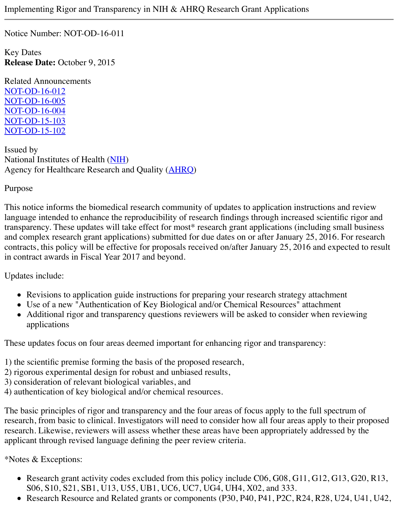Notice Number: NOT-OD-16-011

Key Dates **Release Date:** October 9, 2015

Related Announcements [NOT-OD-16-012](http://grants.nih.gov/grants/guide/notice-files/NOT-OD-16-012.html) [NOT-OD-16-005](http://grants.nih.gov/grants/guide/notice-files/NOT-OD-16-005.html) [NOT-OD-16-004](http://grants.nih.gov/grants/guide/notice-files/NOT-OD-16-004.html)  [NOT-OD-15-103](http://grants.nih.gov/grants/guide/notice-files/NOT-OD-15-103.html) [NOT-OD-15-102](http://grants.nih.gov/grants/guide/notice-files/NOT-OD-15-102.html)

Issued by National Institutes of Health [\(NIH\)](http://www.nih.gov/) Agency for Healthcare Research and Quality [\(AHRQ\)](http://www.ahrq.gov/)

Purpose

This notice informs the biomedical research community of updates to application instructions and review language intended to enhance the reproducibility of research findings through increased scientific rigor and transparency. These updates will take effect for most\* research grant applications (including small business and complex research grant applications) submitted for due dates on or after January 25, 2016. For research contracts, this policy will be effective for proposals received on/after January 25, 2016 and expected to result in contract awards in Fiscal Year 2017 and beyond.

Updates include:

- Revisions to application guide instructions for preparing your research strategy attachment
- Use of a new "Authentication of Key Biological and/or Chemical Resources" attachment
- Additional rigor and transparency questions reviewers will be asked to consider when reviewing applications

These updates focus on four areas deemed important for enhancing rigor and transparency:

- 1) the scientific premise forming the basis of the proposed research,
- 2) rigorous experimental design for robust and unbiased results,
- 3) consideration of relevant biological variables, and
- 4) authentication of key biological and/or chemical resources.

The basic principles of rigor and transparency and the four areas of focus apply to the full spectrum of research, from basic to clinical. Investigators will need to consider how all four areas apply to their proposed research. Likewise, reviewers will assess whether these areas have been appropriately addressed by the applicant through revised language defining the peer review criteria.

\*Notes & Exceptions:

- Research grant activity codes excluded from this policy include C06, G08, G11, G12, G13, G20, R13, S06, S10, S21, SB1, U13, U55, UB1, UC6, UC7, UG4, UH4, X02, and 333.
- Research Resource and Related grants or components (P30, P40, P41, P2C, R24, R28, U24, U41, U42,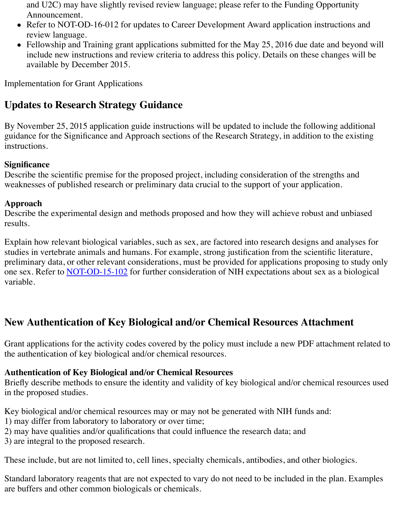and U2C) may have slightly revised review language; please refer to the Funding Opportunity Announcement.

- Refer to NOT-OD-16-012 for updates to Career Development Award application instructions and review language.
- Fellowship and Training grant applications submitted for the May 25, 2016 due date and beyond will include new instructions and review criteria to address this policy. Details on these changes will be available by December 2015.

Implementation for Grant Applications

# **Updates to Research Strategy Guidance**

By November 25, 2015 application guide instructions will be updated to include the following additional guidance for the Significance and Approach sections of the Research Strategy, in addition to the existing instructions.

#### **Significance**

Describe the scientific premise for the proposed project, including consideration of the strengths and weaknesses of published research or preliminary data crucial to the support of your application.

#### **Approach**

Describe the experimental design and methods proposed and how they will achieve robust and unbiased results.

Explain how relevant biological variables, such as sex, are factored into research designs and analyses for studies in vertebrate animals and humans. For example, strong justification from the scientific literature, preliminary data, or other relevant considerations, must be provided for applications proposing to study only one sex. Refer to [NOT-OD-15-102](http://grants.nih.gov/grants/guide/notice-files/NOT-OD-15-102.html) for further consideration of NIH expectations about sex as a biological variable.

## **New Authentication of Key Biological and/or Chemical Resources Attachment**

Grant applications for the activity codes covered by the policy must include a new PDF attachment related to the authentication of key biological and/or chemical resources.

#### **Authentication of Key Biological and/or Chemical Resources**

Briefly describe methods to ensure the identity and validity of key biological and/or chemical resources used in the proposed studies.

Key biological and/or chemical resources may or may not be generated with NIH funds and:

1) may differ from laboratory to laboratory or over time;

2) may have qualities and/or qualifications that could influence the research data; and

3) are integral to the proposed research.

These include, but are not limited to, cell lines, specialty chemicals, antibodies, and other biologics.

Standard laboratory reagents that are not expected to vary do not need to be included in the plan. Examples are buffers and other common biologicals or chemicals.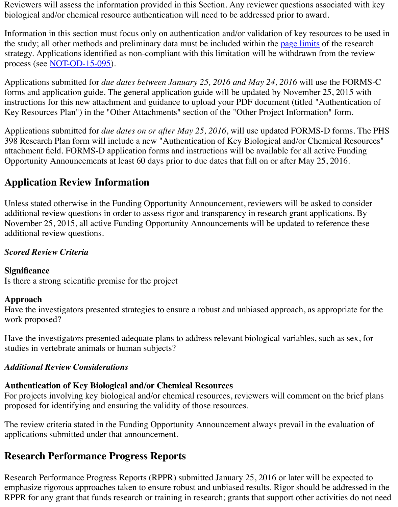Reviewers will assess the information provided in this Section. Any reviewer questions associated with key biological and/or chemical resource authentication will need to be addressed prior to award.

Information in this section must focus only on authentication and/or validation of key resources to be used in the study; all other methods and preliminary data must be included within the [page limits](http://grants.nih.gov/grants/forms_page_limits.htm) of the research strategy. Applications identified as non-compliant with this limitation will be withdrawn from the review process (see <u>NOT-OD-15-095</u>).

Applications submitted for *due dates between January 25, 2016 and May 24, 2016* will use the FORMS-C forms and application guide. The general application guide will be updated by November 25, 2015 with instructions for this new attachment and guidance to upload your PDF document (titled "Authentication of Key Resources Plan") in the "Other Attachments" section of the "Other Project Information" form.

Applications submitted for *due dates on or after May 25, 2016*, will use updated FORMS-D forms. The PHS 398 Research Plan form will include a new "Authentication of Key Biological and/or Chemical Resources" attachment field. FORMS-D application forms and instructions will be available for all active Funding Opportunity Announcements at least 60 days prior to due dates that fall on or after May 25, 2016.

## **Application Review Information**

Unless stated otherwise in the Funding Opportunity Announcement, reviewers will be asked to consider additional review questions in order to assess rigor and transparency in research grant applications. By November 25, 2015, all active Funding Opportunity Announcements will be updated to reference these additional review questions.

#### *Scored Review Criteria*

#### **Significance**

Is there a strong scientific premise for the project

#### **Approach**

Have the investigators presented strategies to ensure a robust and unbiased approach, as appropriate for the work proposed?

Have the investigators presented adequate plans to address relevant biological variables, such as sex, for studies in vertebrate animals or human subjects?

#### *Additional Review Considerations*

#### **Authentication of Key Biological and/or Chemical Resources**

For projects involving key biological and/or chemical resources, reviewers will comment on the brief plans proposed for identifying and ensuring the validity of those resources.

The review criteria stated in the Funding Opportunity Announcement always prevail in the evaluation of applications submitted under that announcement.

## **Research Performance Progress Reports**

Research Performance Progress Reports (RPPR) submitted January 25, 2016 or later will be expected to emphasize rigorous approaches taken to ensure robust and unbiased results. Rigor should be addressed in the RPPR for any grant that funds research or training in research; grants that support other activities do not need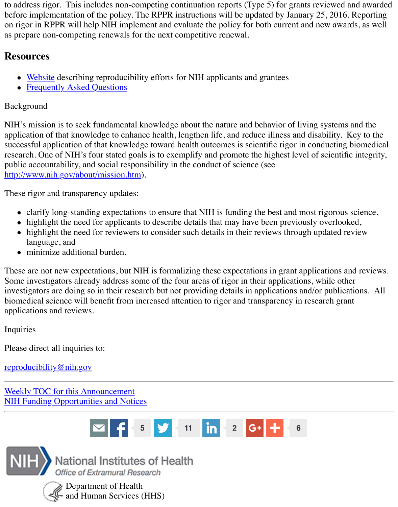to address rigor. This includes non-competing continuation reports (Type 5) for grants reviewed and awarded before implementation of the policy. The RPPR instructions will be updated by January 25, 2016. Reporting on rigor in RPPR will help NIH implement and evaluate the policy for both current and new awards, as well as prepare non-competing renewals for the next competitive renewal.

### **Resources**

- [Website](http://grants.nih.gov/reproducibility/index.htm) describing reproducibility efforts for NIH applicants and grantees
- [Frequently Asked Questions](http://grants.nih.gov/reproducibility/faqs.htm)

#### Background

NIH's mission is to seek fundamental knowledge about the nature and behavior of living systems and the application of that knowledge to enhance health, lengthen life, and reduce illness and disability. Key to the successful application of that knowledge toward health outcomes is scientific rigor in conducting biomedical research. One of NIH's four stated goals is to exemplify and promote the highest level of scientific integrity, public accountability, and social responsibility in the conduct of science (see [http://www.nih.gov/about/mission.htm\)](http://www.nih.gov/about/mission.htm).

These rigor and transparency updates:

- clarify long-standing expectations to ensure that NIH is funding the best and most rigorous science,
- highlight the need for applicants to describe details that may have been previously overlooked,
- highlight the need for reviewers to consider such details in their reviews through updated review language, and
- minimize additional burden.

These are not new expectations, but NIH is formalizing these expectations in grant applications and reviews. Some investigators already address some of the four areas of rigor in their applications, while other investigators are doing so in their research but not providing details in applications and/or publications. All biomedical science will benefit from increased attention to rigor and transparency in research grant applications and reviews.

Inquiries

Please direct all inquiries to:

[reproducibility@nih.gov](mailto:reproducibility@nih.gov)

[Weekly TOC for this Announcement](http://grants.nih.gov/grants/guide/WeeklyIndex.cfm?10-16-15) [NIH Funding Opportunities and Notices](http://grants.nih.gov/grants/guide/index.html)





National Institutes of Health Office of Extramural Research



Department of Health  $\leq$  and Human Services (HHS)